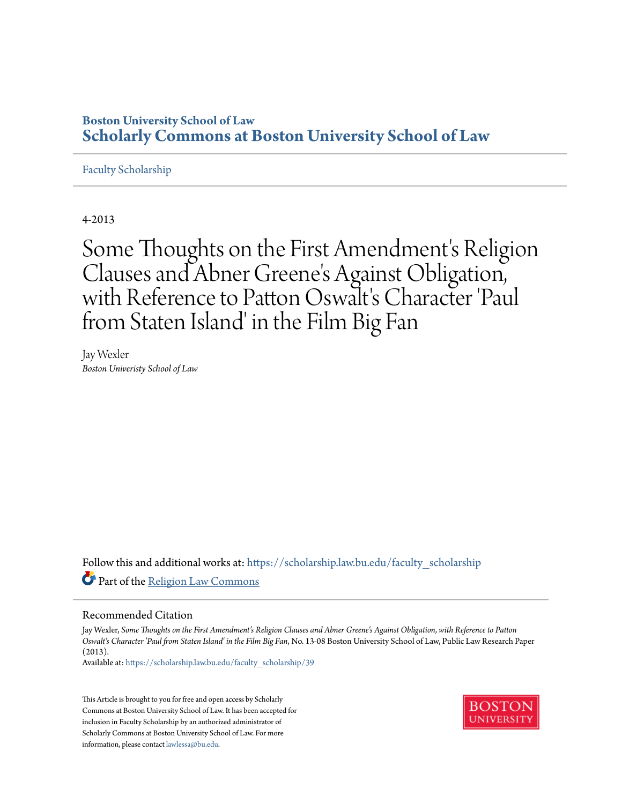## **Boston University School of Law [Scholarly Commons at Boston University School of Law](https://scholarship.law.bu.edu?utm_source=scholarship.law.bu.edu%2Ffaculty_scholarship%2F39&utm_medium=PDF&utm_campaign=PDFCoverPages)**

## [Faculty Scholarship](https://scholarship.law.bu.edu/faculty_scholarship?utm_source=scholarship.law.bu.edu%2Ffaculty_scholarship%2F39&utm_medium=PDF&utm_campaign=PDFCoverPages)

4-2013

Some Thoughts on the First Amendment's Religion Clauses and Abner Greene 's Against Obligation, with Reference to Patton Oswalt's Character 'Paul from Staten Island' in the Film Big Fan

Jay Wexler *Boston Univeristy School of Law*

Follow this and additional works at: [https://scholarship.law.bu.edu/faculty\\_scholarship](https://scholarship.law.bu.edu/faculty_scholarship?utm_source=scholarship.law.bu.edu%2Ffaculty_scholarship%2F39&utm_medium=PDF&utm_campaign=PDFCoverPages) Part of the [Religion Law Commons](http://network.bepress.com/hgg/discipline/872?utm_source=scholarship.law.bu.edu%2Ffaculty_scholarship%2F39&utm_medium=PDF&utm_campaign=PDFCoverPages)

### Recommended Citation

Jay Wexler, *Some Thoughts on the First Amendment's Religion Clauses and Abner Greene's Against Obligation, with Reference to Patton Oswalt's Character 'Paul from Staten Island' in the Film Big Fan*, No. 13-08 Boston University School of Law, Public Law Research Paper (2013).

Available at: [https://scholarship.law.bu.edu/faculty\\_scholarship/39](https://scholarship.law.bu.edu/faculty_scholarship/39?utm_source=scholarship.law.bu.edu%2Ffaculty_scholarship%2F39&utm_medium=PDF&utm_campaign=PDFCoverPages)

This Article is brought to you for free and open access by Scholarly Commons at Boston University School of Law. It has been accepted for inclusion in Faculty Scholarship by an authorized administrator of Scholarly Commons at Boston University School of Law. For more information, please contact [lawlessa@bu.edu.](mailto:lawlessa@bu.edu)

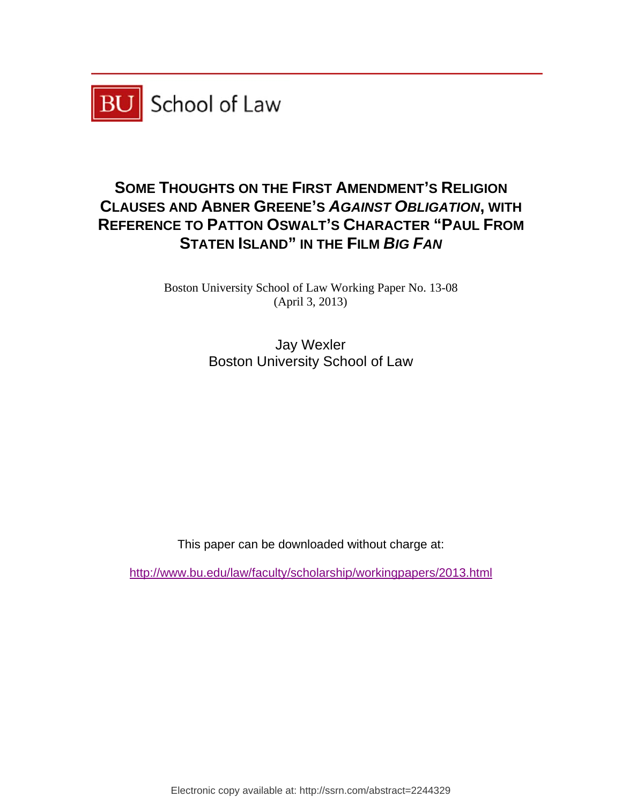

# SOME THOUGHTS ON THE FIRST AMENDMENT'S RELIGION **CLAUSES AND ABNER GREENE'S AGAINST OBLIGATION, WITH** REFERENCE TO PATTON OSWALT'S CHARACTER "PAUL FROM **STATEN N ISLAND" " IN THE F FILM** *BIG G FAN*

Boston University School of Law Working Paper No. 13-08 (Ap pril 3, 2013)

> Boston University School of Law Ja y Wexler

This paper can be downloaded without cha w<br>arge at:

http://www.bu.edu/law/faculty/scholarship/workingpapers/2013.html

Electronic copy available at: http://ssrn.com/abstract=2244329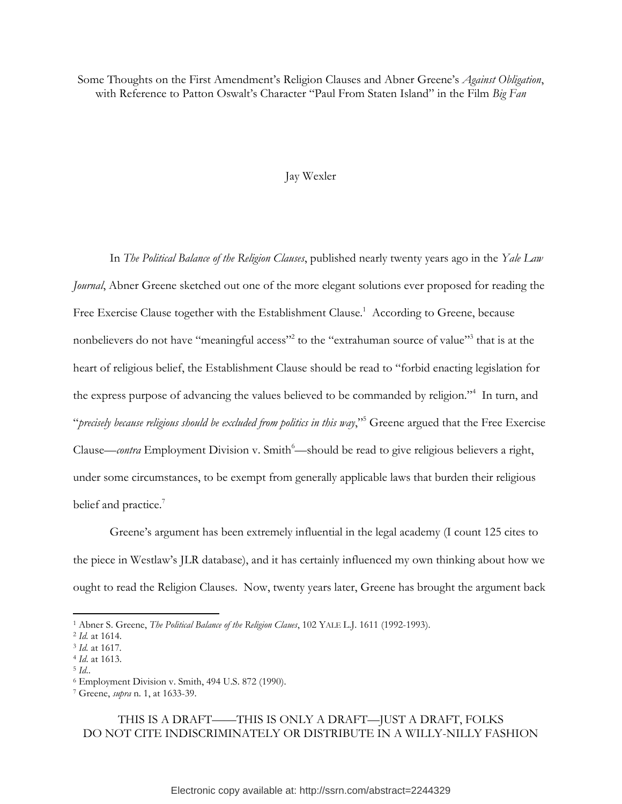Some Thoughts on the First Amendment's Religion Clauses and Abner Greene's *Against Obligation*, with Reference to Patton Oswalt's Character "Paul From Staten Island" in the Film *Big Fan*

## Jay Wexler

In *The Political Balance of the Religion Clauses*, published nearly twenty years ago in the *Yale Law Journal*, Abner Greene sketched out one of the more elegant solutions ever proposed for reading the Free Exercise Clause together with the Establishment Clause.<sup>1</sup> According to Greene, because nonbelievers do not have "meaningful access"<sup>2</sup> to the "extrahuman source of value"<sup>3</sup> that is at the heart of religious belief, the Establishment Clause should be read to "forbid enacting legislation for the express purpose of advancing the values believed to be commanded by religion."<sup>4</sup> In turn, and "*precisely because religious should be excluded from politics in this way*,"<sup>5</sup> Greene argued that the Free Exercise Clause—*contra* Employment Division v. Smith<sup>6</sup>—should be read to give religious believers a right, under some circumstances, to be exempt from generally applicable laws that burden their religious belief and practice.<sup>7</sup>

Greene's argument has been extremely influential in the legal academy (I count 125 cites to the piece in Westlaw's JLR database), and it has certainly influenced my own thinking about how we ought to read the Religion Clauses. Now, twenty years later, Greene has brought the argument back

 $\overline{\phantom{a}}$ 

THIS IS A DRAFT——THIS IS ONLY A DRAFT—JUST A DRAFT, FOLKS DO NOT CITE INDISCRIMINATELY OR DISTRIBUTE IN A WILLY-NILLY FASHION

<sup>1</sup> Abner S. Greene, *The Political Balance of the Religion Claues*, 102 YALE L.J. 1611 (1992-1993).

<sup>2</sup> *Id.* at 1614.

<sup>3</sup> *Id.* at 1617*.*

<sup>4</sup> *Id*. at 1613.

<sup>5</sup> *Id*..

<sup>6</sup> Employment Division v. Smith, 494 U.S. 872 (1990).

<sup>7</sup> Greene, *supra* n. 1, at 1633-39.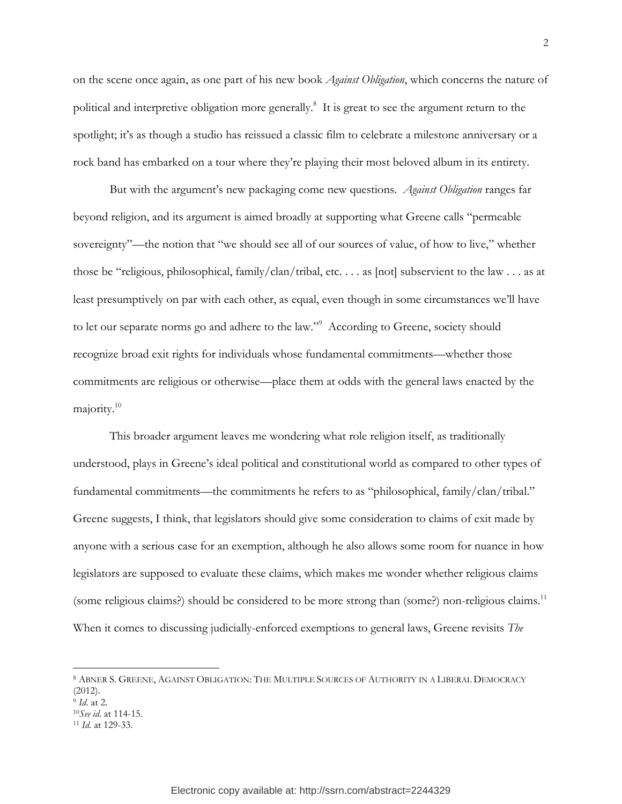on the scene once again, as one part of his new book *Against Obligation*, which concerns the nature of political and interpretive obligation more generally.<sup>8</sup> It is great to see the argument return to the spotlight; it's as though a studio has reissued a classic film to celebrate a milestone anniversary or a rock band has embarked on a tour where they're playing their most beloved album in its entirety.

But with the argument's new packaging come new questions. *Against Obligation* ranges far beyond religion, and its argument is aimed broadly at supporting what Greene calls "permeable sovereignty"—the notion that "we should see all of our sources of value, of how to live," whether those be "religious, philosophical, family/clan/tribal, etc. . . . as [not] subservient to the law . . . as at least presumptively on par with each other, as equal, even though in some circumstances we'll have to let our separate norms go and adhere to the law."<sup>9</sup> According to Greene, society should recognize broad exit rights for individuals whose fundamental commitments—whether those commitments are religious or otherwise—place them at odds with the general laws enacted by the majority.<sup>10</sup>

This broader argument leaves me wondering what role religion itself, as traditionally understood, plays in Greene's ideal political and constitutional world as compared to other types of fundamental commitments—the commitments he refers to as "philosophical, family/clan/tribal." Greene suggests, I think, that legislators should give some consideration to claims of exit made by anyone with a serious case for an exemption, although he also allows some room for nuance in how legislators are supposed to evaluate these claims, which makes me wonder whether religious claims (some religious claims?) should be considered to be more strong than (some?) non-religious claims.<sup>11</sup> When it comes to discussing judicially-enforced exemptions to general laws, Greene revisits *The* 

<sup>8</sup> ABNER S. GREENE, AGAINST OBLIGATION: THE MULTIPLE SOURCES OF AUTHORITY IN A LIBERAL DEMOCRACY (2012).

<sup>9</sup> *Id*. at 2.

<sup>10</sup>*See id*. at 114-15.

<sup>11</sup> *Id.* at 129-33.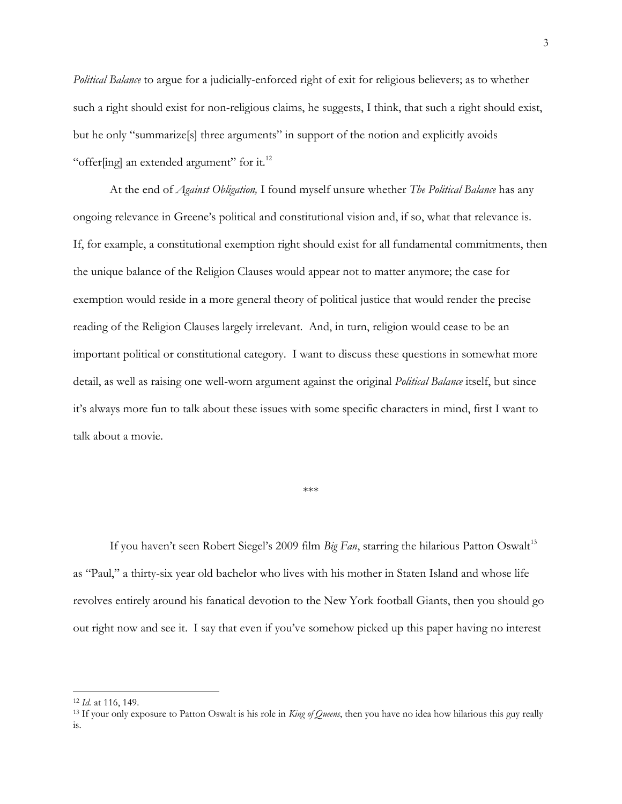*Political Balance* to argue for a judicially-enforced right of exit for religious believers; as to whether such a right should exist for non-religious claims, he suggests, I think, that such a right should exist, but he only "summarize[s] three arguments" in support of the notion and explicitly avoids "offer[ing] an extended argument" for it.<sup>12</sup>

At the end of *Against Obligation,* I found myself unsure whether *The Political Balance* has any ongoing relevance in Greene's political and constitutional vision and, if so, what that relevance is. If, for example, a constitutional exemption right should exist for all fundamental commitments, then the unique balance of the Religion Clauses would appear not to matter anymore; the case for exemption would reside in a more general theory of political justice that would render the precise reading of the Religion Clauses largely irrelevant. And, in turn, religion would cease to be an important political or constitutional category. I want to discuss these questions in somewhat more detail, as well as raising one well-worn argument against the original *Political Balance* itself, but since it's always more fun to talk about these issues with some specific characters in mind, first I want to talk about a movie.

### \*\*\*

If you haven't seen Robert Siegel's 2009 film *Big Fan*, starring the hilarious Patton Oswalt<sup>13</sup> as "Paul," a thirty-six year old bachelor who lives with his mother in Staten Island and whose life revolves entirely around his fanatical devotion to the New York football Giants, then you should go out right now and see it. I say that even if you've somehow picked up this paper having no interest

l

<sup>12</sup> *Id.* at 116, 149.

<sup>13</sup> If your only exposure to Patton Oswalt is his role in *King of Queens*, then you have no idea how hilarious this guy really is.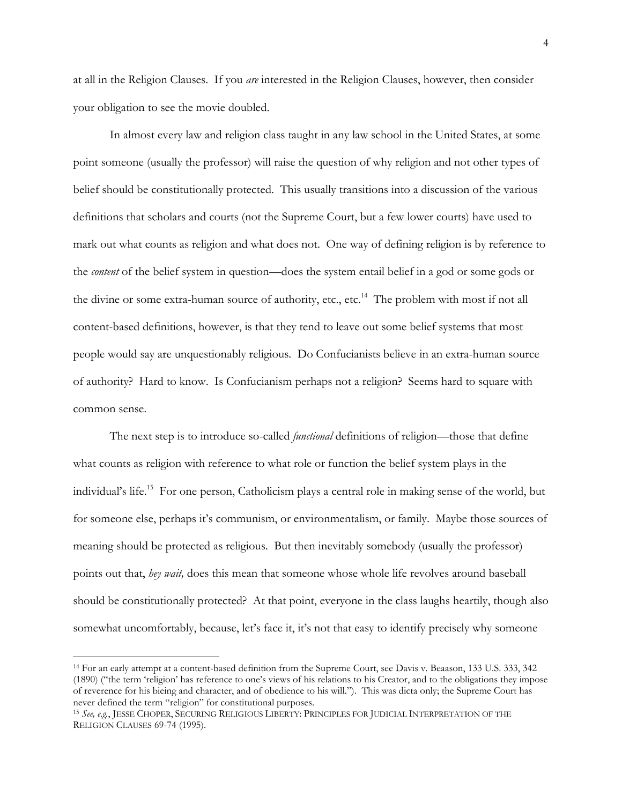at all in the Religion Clauses. If you *are* interested in the Religion Clauses, however, then consider your obligation to see the movie doubled.

In almost every law and religion class taught in any law school in the United States, at some point someone (usually the professor) will raise the question of why religion and not other types of belief should be constitutionally protected. This usually transitions into a discussion of the various definitions that scholars and courts (not the Supreme Court, but a few lower courts) have used to mark out what counts as religion and what does not. One way of defining religion is by reference to the *content* of the belief system in question—does the system entail belief in a god or some gods or the divine or some extra-human source of authority, etc., etc.<sup>14</sup> The problem with most if not all content-based definitions, however, is that they tend to leave out some belief systems that most people would say are unquestionably religious. Do Confucianists believe in an extra-human source of authority? Hard to know. Is Confucianism perhaps not a religion? Seems hard to square with common sense.

The next step is to introduce so-called *functional* definitions of religion—those that define what counts as religion with reference to what role or function the belief system plays in the individual's life.<sup>15</sup> For one person, Catholicism plays a central role in making sense of the world, but for someone else, perhaps it's communism, or environmentalism, or family. Maybe those sources of meaning should be protected as religious. But then inevitably somebody (usually the professor) points out that, *hey wait,* does this mean that someone whose whole life revolves around baseball should be constitutionally protected? At that point, everyone in the class laughs heartily, though also somewhat uncomfortably, because, let's face it, it's not that easy to identify precisely why someone

 $\overline{\phantom{a}}$ 

<sup>14</sup> For an early attempt at a content-based definition from the Supreme Court, see Davis v. Beaason, 133 U.S. 333, 342 (1890) ("the term 'religion' has reference to one's views of his relations to his Creator, and to the obligations they impose of reverence for his bieing and character, and of obedience to his will."). This was dicta only; the Supreme Court has never defined the term "religion" for constitutional purposes.

<sup>15</sup> *See, e.g.*, JESSE CHOPER, SECURING RELIGIOUS LIBERTY: PRINCIPLES FOR JUDICIAL INTERPRETATION OF THE RELIGION CLAUSES 69-74 (1995).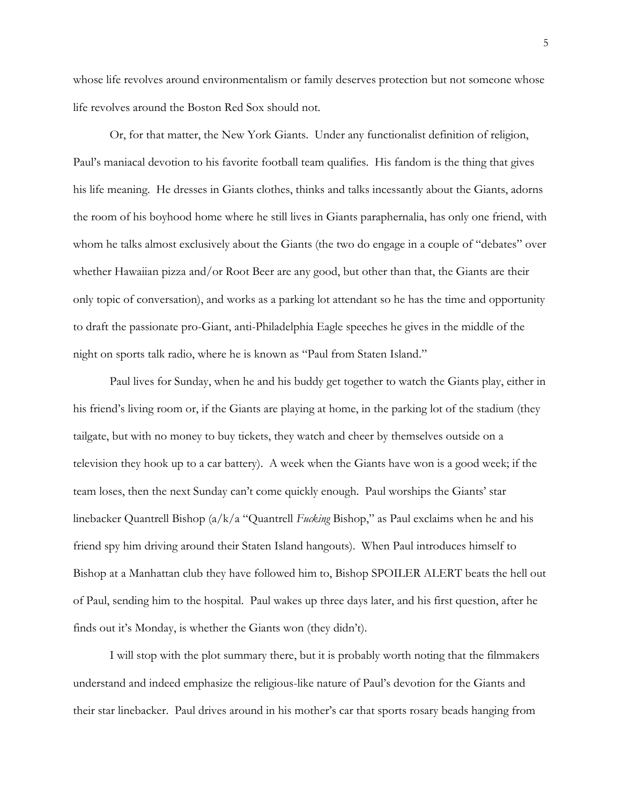whose life revolves around environmentalism or family deserves protection but not someone whose life revolves around the Boston Red Sox should not.

Or, for that matter, the New York Giants. Under any functionalist definition of religion, Paul's maniacal devotion to his favorite football team qualifies. His fandom is the thing that gives his life meaning. He dresses in Giants clothes, thinks and talks incessantly about the Giants, adorns the room of his boyhood home where he still lives in Giants paraphernalia, has only one friend, with whom he talks almost exclusively about the Giants (the two do engage in a couple of "debates" over whether Hawaiian pizza and/or Root Beer are any good, but other than that, the Giants are their only topic of conversation), and works as a parking lot attendant so he has the time and opportunity to draft the passionate pro-Giant, anti-Philadelphia Eagle speeches he gives in the middle of the night on sports talk radio, where he is known as "Paul from Staten Island."

Paul lives for Sunday, when he and his buddy get together to watch the Giants play, either in his friend's living room or, if the Giants are playing at home, in the parking lot of the stadium (they tailgate, but with no money to buy tickets, they watch and cheer by themselves outside on a television they hook up to a car battery). A week when the Giants have won is a good week; if the team loses, then the next Sunday can't come quickly enough. Paul worships the Giants' star linebacker Quantrell Bishop (a/k/a "Quantrell *Fucking* Bishop," as Paul exclaims when he and his friend spy him driving around their Staten Island hangouts). When Paul introduces himself to Bishop at a Manhattan club they have followed him to, Bishop SPOILER ALERT beats the hell out of Paul, sending him to the hospital. Paul wakes up three days later, and his first question, after he finds out it's Monday, is whether the Giants won (they didn't).

I will stop with the plot summary there, but it is probably worth noting that the filmmakers understand and indeed emphasize the religious-like nature of Paul's devotion for the Giants and their star linebacker. Paul drives around in his mother's car that sports rosary beads hanging from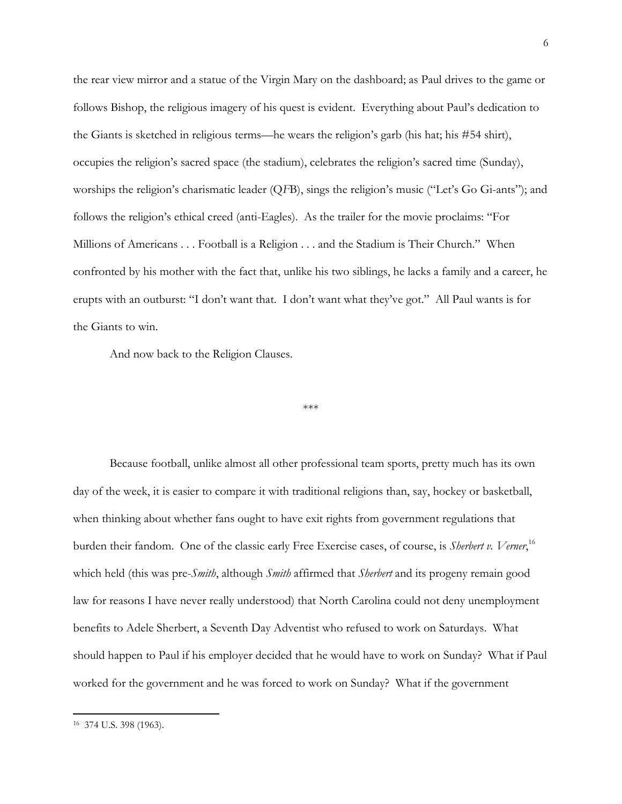the rear view mirror and a statue of the Virgin Mary on the dashboard; as Paul drives to the game or follows Bishop, the religious imagery of his quest is evident. Everything about Paul's dedication to the Giants is sketched in religious terms—he wears the religion's garb (his hat; his #54 shirt), occupies the religion's sacred space (the stadium), celebrates the religion's sacred time (Sunday), worships the religion's charismatic leader (Q*F*B), sings the religion's music ("Let's Go Gi-ants"); and follows the religion's ethical creed (anti-Eagles). As the trailer for the movie proclaims: "For Millions of Americans . . . Football is a Religion . . . and the Stadium is Their Church." When confronted by his mother with the fact that, unlike his two siblings, he lacks a family and a career, he erupts with an outburst: "I don't want that. I don't want what they've got." All Paul wants is for the Giants to win.

And now back to the Religion Clauses.

#### \*\*\*

Because football, unlike almost all other professional team sports, pretty much has its own day of the week, it is easier to compare it with traditional religions than, say, hockey or basketball, when thinking about whether fans ought to have exit rights from government regulations that burden their fandom. One of the classic early Free Exercise cases, of course, is *Sherbert v. Verner*, 16 which held (this was pre-*Smith*, although *Smith* affirmed that *Sherbert* and its progeny remain good law for reasons I have never really understood) that North Carolina could not deny unemployment benefits to Adele Sherbert, a Seventh Day Adventist who refused to work on Saturdays. What should happen to Paul if his employer decided that he would have to work on Sunday? What if Paul worked for the government and he was forced to work on Sunday? What if the government

<sup>16</sup> 374 U.S. 398 (1963).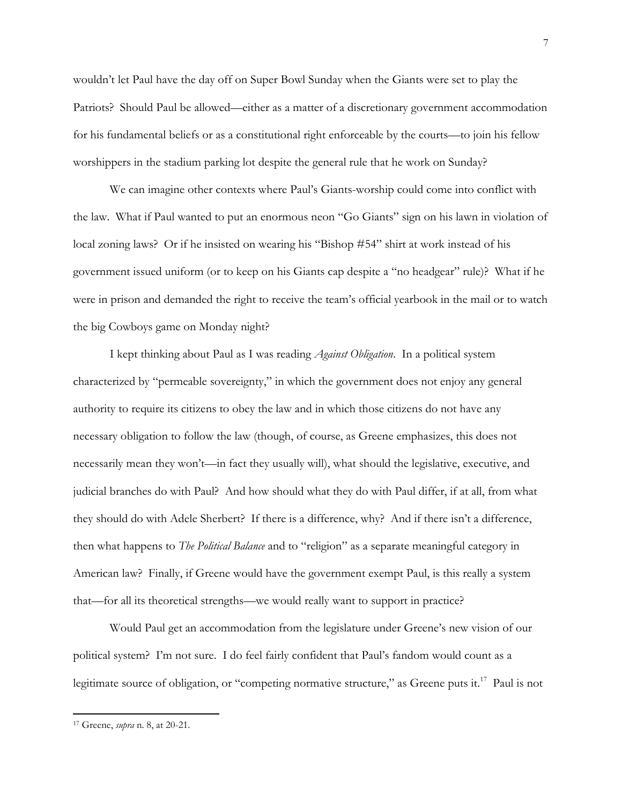wouldn't let Paul have the day off on Super Bowl Sunday when the Giants were set to play the Patriots? Should Paul be allowed—either as a matter of a discretionary government accommodation for his fundamental beliefs or as a constitutional right enforceable by the courts—to join his fellow worshippers in the stadium parking lot despite the general rule that he work on Sunday?

We can imagine other contexts where Paul's Giants-worship could come into conflict with the law. What if Paul wanted to put an enormous neon "Go Giants" sign on his lawn in violation of local zoning laws? Or if he insisted on wearing his "Bishop #54" shirt at work instead of his government issued uniform (or to keep on his Giants cap despite a "no headgear" rule)? What if he were in prison and demanded the right to receive the team's official yearbook in the mail or to watch the big Cowboys game on Monday night?

I kept thinking about Paul as I was reading *Against Obligation*. In a political system characterized by "permeable sovereignty," in which the government does not enjoy any general authority to require its citizens to obey the law and in which those citizens do not have any necessary obligation to follow the law (though, of course, as Greene emphasizes, this does not necessarily mean they won't—in fact they usually will), what should the legislative, executive, and judicial branches do with Paul? And how should what they do with Paul differ, if at all, from what they should do with Adele Sherbert? If there is a difference, why? And if there isn't a difference, then what happens to *The Political Balance* and to "religion" as a separate meaningful category in American law? Finally, if Greene would have the government exempt Paul, is this really a system that—for all its theoretical strengths—we would really want to support in practice?

Would Paul get an accommodation from the legislature under Greene's new vision of our political system? I'm not sure. I do feel fairly confident that Paul's fandom would count as a legitimate source of obligation, or "competing normative structure," as Greene puts it.<sup>17</sup> Paul is not

<sup>17</sup> Greene, *supra* n. 8, at 20-21.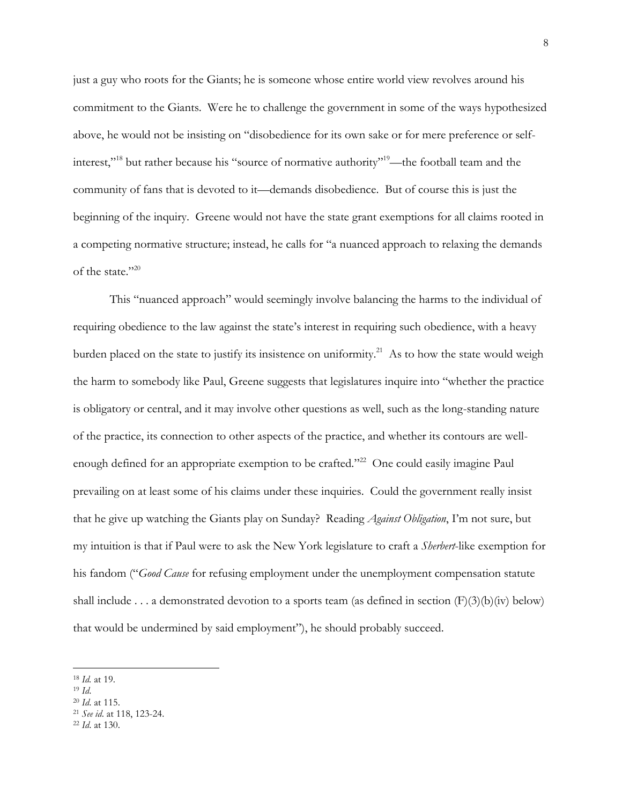just a guy who roots for the Giants; he is someone whose entire world view revolves around his commitment to the Giants. Were he to challenge the government in some of the ways hypothesized above, he would not be insisting on "disobedience for its own sake or for mere preference or selfinterest,"<sup>18</sup> but rather because his "source of normative authority"<sup>19</sup>—the football team and the community of fans that is devoted to it—demands disobedience. But of course this is just the beginning of the inquiry. Greene would not have the state grant exemptions for all claims rooted in a competing normative structure; instead, he calls for "a nuanced approach to relaxing the demands of the state."<sup>20</sup>

This "nuanced approach" would seemingly involve balancing the harms to the individual of requiring obedience to the law against the state's interest in requiring such obedience, with a heavy burden placed on the state to justify its insistence on uniformity.<sup>21</sup> As to how the state would weigh the harm to somebody like Paul, Greene suggests that legislatures inquire into "whether the practice is obligatory or central, and it may involve other questions as well, such as the long-standing nature of the practice, its connection to other aspects of the practice, and whether its contours are wellenough defined for an appropriate exemption to be crafted."<sup>22</sup> One could easily imagine Paul prevailing on at least some of his claims under these inquiries. Could the government really insist that he give up watching the Giants play on Sunday? Reading *Against Obligation*, I'm not sure, but my intuition is that if Paul were to ask the New York legislature to craft a *Sherbert*-like exemption for his fandom ("*Good Cause* for refusing employment under the unemployment compensation statute shall include . . . a demonstrated devotion to a sports team (as defined in section  $(F)(3)(b)(iv)$  below) that would be undermined by said employment"), he should probably succeed.

<sup>18</sup> *Id.* at 19.

<sup>19</sup> *Id*.

<sup>20</sup> *Id*. at 115.

<sup>21</sup> *See id*. at 118, 123-24.

<sup>22</sup> *Id*. at 130.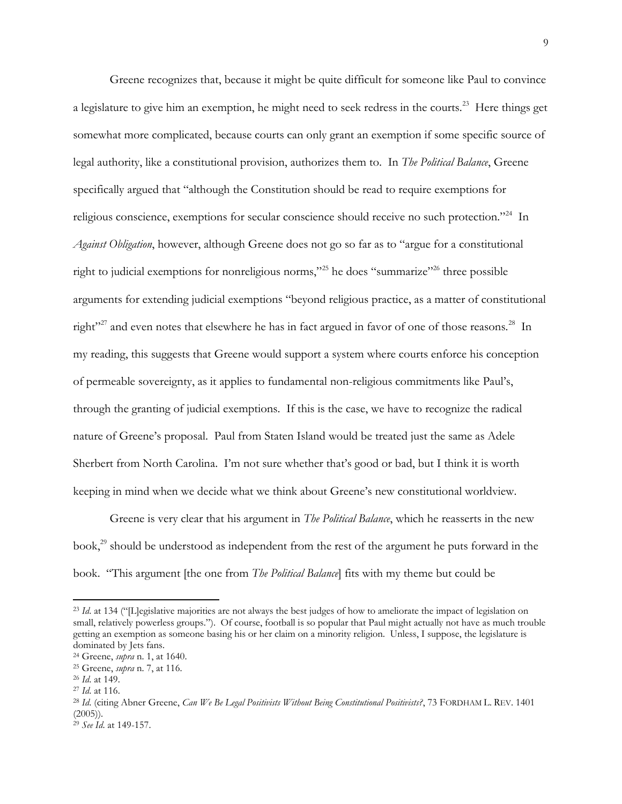Greene recognizes that, because it might be quite difficult for someone like Paul to convince a legislature to give him an exemption, he might need to seek redress in the courts.<sup>23</sup> Here things get somewhat more complicated, because courts can only grant an exemption if some specific source of legal authority, like a constitutional provision, authorizes them to. In *The Political Balance*, Greene specifically argued that "although the Constitution should be read to require exemptions for religious conscience, exemptions for secular conscience should receive no such protection."<sup>24</sup> In *Against Obligation*, however, although Greene does not go so far as to "argue for a constitutional right to judicial exemptions for nonreligious norms,"<sup>25</sup> he does "summarize"<sup>26</sup> three possible arguments for extending judicial exemptions "beyond religious practice, as a matter of constitutional right"<sup>27</sup> and even notes that elsewhere he has in fact argued in favor of one of those reasons.<sup>28</sup> In my reading, this suggests that Greene would support a system where courts enforce his conception of permeable sovereignty, as it applies to fundamental non-religious commitments like Paul's, through the granting of judicial exemptions. If this is the case, we have to recognize the radical nature of Greene's proposal. Paul from Staten Island would be treated just the same as Adele Sherbert from North Carolina. I'm not sure whether that's good or bad, but I think it is worth keeping in mind when we decide what we think about Greene's new constitutional worldview.

Greene is very clear that his argument in *The Political Balance*, which he reasserts in the new book,<sup>29</sup> should be understood as independent from the rest of the argument he puts forward in the book. "This argument [the one from *The Political Balance*] fits with my theme but could be

l

<sup>&</sup>lt;sup>23</sup> *Id.* at 134 ("[L]egislative majorities are not always the best judges of how to ameliorate the impact of legislation on small, relatively powerless groups."). Of course, football is so popular that Paul might actually not have as much trouble getting an exemption as someone basing his or her claim on a minority religion. Unless, I suppose, the legislature is dominated by Jets fans.

<sup>24</sup> Greene, *supra* n. 1, at 1640.

<sup>25</sup> Greene, *supra* n. 7, at 116.

<sup>26</sup> *Id*. at 149.

<sup>27</sup> *Id*. at 116.

<sup>28</sup> *Id*. (citing Abner Greene, *Can We Be Legal Positivists Without Being Constitutional Positivists?*, 73 FORDHAM L. REV. 1401  $(2005)$ ).

<sup>29</sup> *See Id*. at 149-157.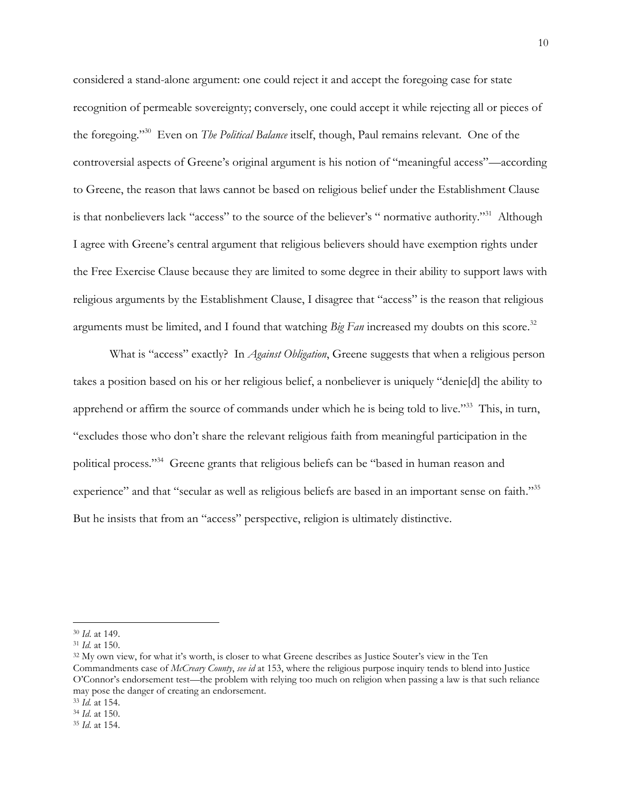considered a stand-alone argument: one could reject it and accept the foregoing case for state recognition of permeable sovereignty; conversely, one could accept it while rejecting all or pieces of the foregoing."<sup>30</sup> Even on *The Political Balance* itself, though, Paul remains relevant. One of the controversial aspects of Greene's original argument is his notion of "meaningful access"—according to Greene, the reason that laws cannot be based on religious belief under the Establishment Clause is that nonbelievers lack "access" to the source of the believer's " normative authority."<sup>31</sup> Although I agree with Greene's central argument that religious believers should have exemption rights under the Free Exercise Clause because they are limited to some degree in their ability to support laws with religious arguments by the Establishment Clause, I disagree that "access" is the reason that religious arguments must be limited, and I found that watching *Big Fan* increased my doubts on this score. 32

What is "access" exactly? In *Against Obligation*, Greene suggests that when a religious person takes a position based on his or her religious belief, a nonbeliever is uniquely "denie[d] the ability to apprehend or affirm the source of commands under which he is being told to live."<sup>33</sup> This, in turn, "excludes those who don't share the relevant religious faith from meaningful participation in the political process."<sup>34</sup> Greene grants that religious beliefs can be "based in human reason and experience" and that "secular as well as religious beliefs are based in an important sense on faith."<sup>35</sup> But he insists that from an "access" perspective, religion is ultimately distinctive.

<sup>30</sup> *Id*. at 149.

<sup>31</sup> *Id.* at 150.

<sup>&</sup>lt;sup>32</sup> My own view, for what it's worth, is closer to what Greene describes as Justice Souter's view in the Ten Commandments case of *McCreary County*, *see id* at 153, where the religious purpose inquiry tends to blend into Justice O'Connor's endorsement test—the problem with relying too much on religion when passing a law is that such reliance may pose the danger of creating an endorsement.

<sup>33</sup> *Id.* at 154.

<sup>34</sup> *Id*. at 150.

<sup>35</sup> *Id*. at 154.